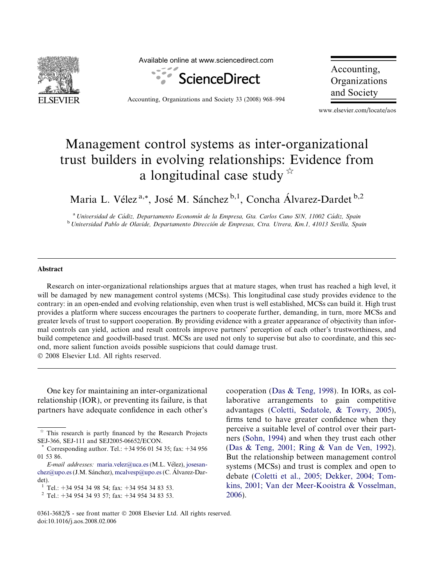

Available online at www.sciencedirect.com



Accounting, Organizations and Society 33 (2008) 968–994

Accounting, Organizations and Society

www.elsevier.com/locate/aos

## Management control systems as inter-organizational trust builders in evolving relationships: Evidence from a longitudinal case study  $\overrightarrow{r}$

Maria L. Vélez<sup>a,\*</sup>, José M. Sánchez <sup>b,1</sup>, Concha Álvarez-Dardet <sup>b,2</sup>

<sup>a</sup> Universidad de Cádiz, Departamento Economía de la Empresa, Gta. Carlos Cano S/N, 11002 Cádiz, Spain <sup>b</sup> Universidad Pablo de Olavide, Departamento Dirección de Empresas, Ctra. Utrera, Km.1, 41013 Sevilla, Spain

## **Abstract**

Research on inter-organizational relationships argues that at mature stages, when trust has reached a high level, it will be damaged by new management control systems (MCSs). This longitudinal case study provides evidence to the contrary: in an open-ended and evolving relationship, even when trust is well established, MCSs can build it. High trust provides a platform where success encourages the partners to cooperate further, demanding, in turn, more MCSs and greater levels of trust to support cooperation. By providing evidence with a greater appearance of objectivity than informal controls can yield, action and result controls improve partners' perception of each other's trustworthiness, and build competence and goodwill-based trust. MCSs are used not only to supervise but also to coordinate, and this second, more salient function avoids possible suspicions that could damage trust.  $© 2008 Elsevier Ltd. All rights reserved.$ 

One key for maintaining an inter-organizational relationship (IOR), or preventing its failure, is that partners have adequate confidence in each other's

cooperation [\(Das & Teng, 1998\)](#page--1-0). In IORs, as collaborative arrangements to gain competitive advantages [\(Coletti, Sedatole, & Towry, 2005\)](#page--1-0), firms tend to have greater confidence when they perceive a suitable level of control over their partners ([Sohn, 1994](#page--1-0)) and when they trust each other ([Das & Teng, 2001; Ring & Van de Ven, 1992\)](#page--1-0). But the relationship between management control systems (MCSs) and trust is complex and open to debate [\(Coletti et al., 2005; Dekker, 2004; Tom](#page--1-0)[kins, 2001; Van der Meer-Kooistra & Vosselman,](#page--1-0) [2006](#page--1-0)).

This research is partly financed by the Research Projects SEJ-366, SEJ-111 and SEJ2005-06652/ECON.

Corresponding author. Tel.: +34 956 01 54 35; fax: +34 956 01 53 86.

E-mail addresses: [maria.velez@uca.es](mailto:maria.velez@uca.es) (M.L. Vélez), [josesan](mailto:josesanchez@upo.es )[chez@upo.es](mailto:josesanchez@upo.es ) (J.M. Sánchez), [mcalvesp@upo.es](mailto:mcalvesp@upo.es ) (C. Álvarez-Dardet).

<sup>&</sup>lt;sup>1</sup> Tel.: +34 954 34 98 54; fax: +34 954 34 83 53.<br><sup>2</sup> Tel.: +34 954 34 93 57; fax: +34 954 34 83 53.

<sup>0361-3682/\$ -</sup> see front matter © 2008 Elsevier Ltd. All rights reserved. doi:10.1016/j.aos.2008.02.006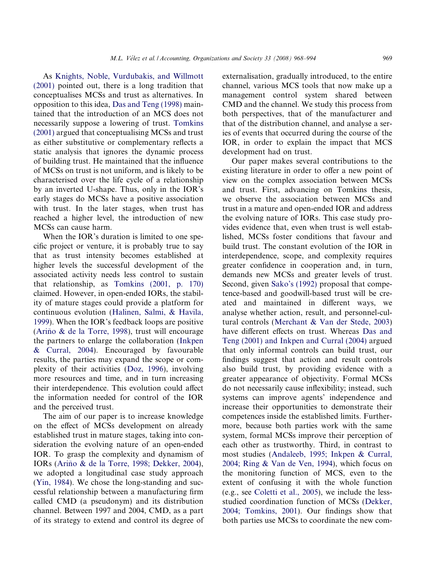As [Knights, Noble, Vurdubakis, and Willmott](#page--1-0) [\(2001\)](#page--1-0) pointed out, there is a long tradition that conceptualises MCSs and trust as alternatives. In opposition to this idea, [Das and Teng \(1998\)](#page--1-0) maintained that the introduction of an MCS does not necessarily suppose a lowering of trust. [Tomkins](#page--1-0) [\(2001\)](#page--1-0) argued that conceptualising MCSs and trust as either substitutive or complementary reflects a static analysis that ignores the dynamic process of building trust. He maintained that the influence of MCSs on trust is not uniform, and is likely to be characterised over the life cycle of a relationship by an inverted U-shape. Thus, only in the IOR's early stages do MCSs have a positive association with trust. In the later stages, when trust has reached a higher level, the introduction of new MCSs can cause harm.

When the IOR's duration is limited to one specific project or venture, it is probably true to say that as trust intensity becomes established at higher levels the successful development of the associated activity needs less control to sustain that relationship, as [Tomkins \(2001, p. 170\)](#page--1-0) claimed. However, in open-ended IORs, the stability of mature stages could provide a platform for continuous evolution [\(Halinen, Salmi, & Havila,](#page--1-0) [1999](#page--1-0)). When the IOR's feedback loops are positive (Ariño  $\&$  de la Torre, 1998), trust will encourage the partners to enlarge the collaboration [\(Inkpen](#page--1-0) [& Curral, 2004](#page--1-0)). Encouraged by favourable results, the parties may expand the scope or complexity of their activities ([Doz, 1996\)](#page--1-0), involving more resources and time, and in turn increasing their interdependence. This evolution could affect the information needed for control of the IOR and the perceived trust.

The aim of our paper is to increase knowledge on the effect of MCSs development on already established trust in mature stages, taking into consideration the evolving nature of an open-ended IOR. To grasp the complexity and dynamism of IORs (Ariño & de la Torre, 1998; Dekker, 2004), we adopted a longitudinal case study approach ([Yin, 1984\)](#page--1-0). We chose the long-standing and successful relationship between a manufacturing firm called CMD (a pseudonym) and its distribution channel. Between 1997 and 2004, CMD, as a part of its strategy to extend and control its degree of externalisation, gradually introduced, to the entire channel, various MCS tools that now make up a management control system shared between CMD and the channel. We study this process from both perspectives, that of the manufacturer and that of the distribution channel, and analyse a series of events that occurred during the course of the IOR, in order to explain the impact that MCS development had on trust.

Our paper makes several contributions to the existing literature in order to offer a new point of view on the complex association between MCSs and trust. First, advancing on Tomkins thesis, we observe the association between MCSs and trust in a mature and open-ended IOR and address the evolving nature of IORs. This case study provides evidence that, even when trust is well established, MCSs foster conditions that favour and build trust. The constant evolution of the IOR in interdependence, scope, and complexity requires greater confidence in cooperation and, in turn, demands new MCSs and greater levels of trust. Second, given [Sako's \(1992\)](#page--1-0) proposal that competence-based and goodwill-based trust will be created and maintained in different ways, we analyse whether action, result, and personnel-cultural controls ([Merchant & Van der Stede, 2003](#page--1-0)) have different effects on trust. Whereas [Das and](#page--1-0) [Teng \(2001\) and Inkpen and Curral \(2004\)](#page--1-0) argued that only informal controls can build trust, our findings suggest that action and result controls also build trust, by providing evidence with a greater appearance of objectivity. Formal MCSs do not necessarily cause inflexibility; instead, such systems can improve agents' independence and increase their opportunities to demonstrate their competences inside the established limits. Furthermore, because both parties work with the same system, formal MCSs improve their perception of each other as trustworthy. Third, in contrast to most studies ([Andaleeb, 1995; Inkpen & Curral,](#page--1-0) [2004; Ring & Van de Ven, 1994](#page--1-0)), which focus on the monitoring function of MCS, even to the extent of confusing it with the whole function (e.g., see [Coletti et al., 2005\)](#page--1-0), we include the lessstudied coordination function of MCSs [\(Dekker,](#page--1-0) [2004; Tomkins, 2001\)](#page--1-0). Our findings show that both parties use MCSs to coordinate the new com-